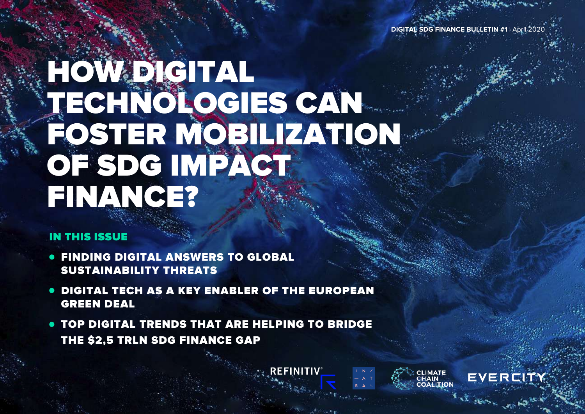**DIGITAL SDG FINANCE BULLETIN #1** | April 2020

CLIMATE<br>CHAIN

EVERCIT

## HOW DIGITAL TECHNOLOGIES CAN FOSTER MOBILIZATION OF SDG IMPACT FINANCE?

## IN THIS ISSUE

- **FINDING DIGITAL ANSWERS TO GLOBAL** SUSTAINABILITY THREATS
- DIGITAL TECH AS A KEY ENABLER OF THE EUROPEAN  $\bullet$ GREEN DEAL
- TOP DIGITAL TRENDS THAT ARE HELPING TO BRIDGE  $\bullet$ THE \$2,5 TRLN SDG FINANCE GAP

**REFINITIV**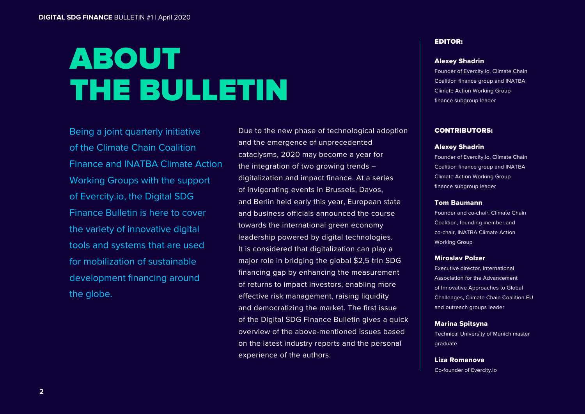## ABOUT THE BULLETIN

Being a joint quarterly initiative of the Climate Chain Coalition Finance and INATBA Climate Action Working Groups with the support of Evercity.io, the Digital SDG Finance Bulletin is here to cover the variety of innovative digital tools and systems that are used for mobilization of sustainable development financing around the globe.

Due to the new phase of technological adoption and the emergence of unprecedented cataclysms, 2020 may become a year for the integration of two growing trends – digitalization and impact finance. At a series of invigorating events in Brussels, Davos, and Berlin held early this year, European state and business officials announced the course towards the international green economy leadership powered by digital technologies. It is considered that digitalization can play a major role in bridging the global \$2,5 trln SDG financing gap by enhancing the measurement of returns to impact investors, enabling more effective risk management, raising liquidity and democratizing the market. The first issue of the Digital SDG Finance Bulletin gives a quick overview of the above-mentioned issues based on the latest industry reports and the personal experience of the authors.

#### EDITOR:

#### Alexey Shadrin

Founder of Evercity.io, Climate Chain Coalition finance group and INATBA Climate Action Working Group finance subgroup leader

#### CONTRIBUTORS:

#### Alexey Shadrin

Founder of Evercity.io, Climate Chain Coalition finance group and INATBA Climate Action Working Group finance subgroup leader

#### Tom Baumann

Founder and co-chair, Climate Chain Coalition, founding member and co-chair, INATBA Climate Action Working Group

#### Miroslav Polzer

Executive director, International Association for the Advancement of Innovative Approaches to Global Challenges, Climate Chain Coalition EU and outreach groups leader

### Marina Spitsyna

Technical University of Munich master graduate

Liza Romanova Co-founder of Evercity.io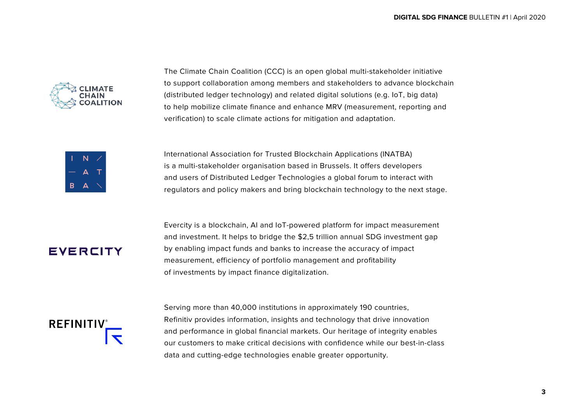

The Climate Chain Coalition (CCC) is an open global multi-stakeholder initiative [to support collaboration among members and stakeholders to advance blockchain](https://www.climatechaincoalition.io/)  (distributed ledger technology) and related digital solutions (e.g. IoT, big data) to help mobilize climate finance and enhance MRV (measurement, reporting and verification) to scale climate actions for mitigation and adaptation.



International Association for Trusted Blockchain Applications (INATBA) is a multi-stakeholder organisation based in Brussels. It offers developers and users of Distributed Ledger Technologies a global forum to interact with [regulators and policy makers and bring blockchain technology to the next stage.](https://inatba.org)

## EVERCITY

[Evercity is a blockchain, AI and IoT-powered platform for impact measurement](https://evercity.io)  and investment. It helps to bridge the \$2,5 trillion annual SDG investment gap by enabling impact funds and banks to increase the accuracy of impact measurement, efficiency of portfolio management and profitability of investments by impact finance digitalization.



Serving more than 40,000 institutions in approximately 190 countries, Refinitiv provides information, insights and technology that drive innovation and performance in global financial markets. Our heritage of integrity enables [our customers to make critical decisions with confidence while our best-in-class](https://www.refinitiv.com/en)  data and cutting-edge technologies enable greater opportunity.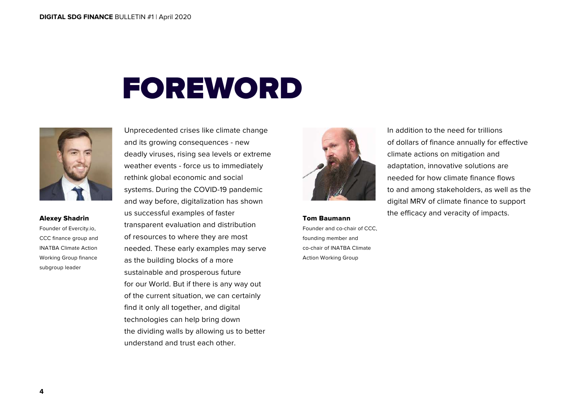## FOREWORD



#### Alexey Shadrin

Founder of Evercity.io, CCC finance group and INATBA Climate Action Working Group finance subgroup leader

Unprecedented crises like climate change and its growing consequences - new deadly viruses, rising sea levels or extreme weather events - force us to immediately rethink global economic and social systems. During the COVID-19 pandemic and way before, digitalization has shown us successful examples of faster transparent evaluation and distribution of resources to where they are most needed. These early examples may serve as the building blocks of a more sustainable and prosperous future for our World. But if there is any way out of the current situation, we can certainly find it only all together, and digital technologies can help bring down the dividing walls by allowing us to better understand and trust each other.



Tom Baumann Founder and co-chair of CCC, founding member and co-chair of INATBA Climate Action Working Group

In addition to the need for trillions of dollars of finance annually for effective climate actions on mitigation and adaptation, innovative solutions are needed for how climate finance flows to and among stakeholders, as well as the digital MRV of climate finance to support the efficacy and veracity of impacts.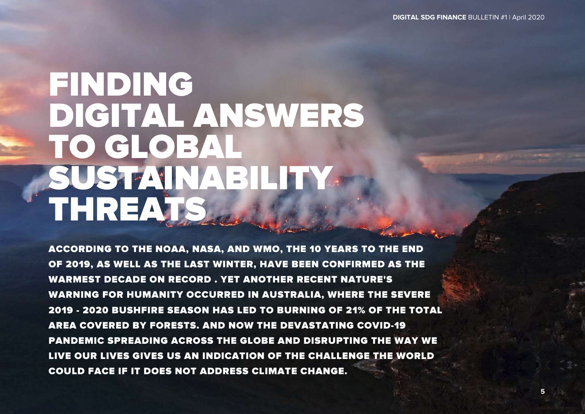# FINDING DIGITAL ANSWERS TO GLOBAL SUSTAINABILITY. THREATS

ACCORDING TO THE NOAA, NASA, AND WMO, THE 10 YEARS TO THE END OF 2019, AS WELL AS THE LAST WINTER, HAVE BEEN CONFIRMED AS THE WARMEST DECADE ON RECORD . YET ANOTHER RECENT NATURE'S WARNING FOR HUMANITY OCCURRED IN AUSTRALIA, WHERE THE SEVERE 2019 - 2020 BUSHFIRE SEASON HAS LED TO BURNING OF 21% OF THE TOTAL AREA COVERED BY FORESTS. AND NOW THE DEVASTATING COVID-19 PANDEMIC SPREADING AСROSS THE GLOBE AND DISRUPTING THE WAY WE LIVE OUR LIVES GIVES US AN INDICATION OF THE CHALLENGE THE WORLD COULD FACE IF IT DOES NOT ADDRESS CLIMATE CHANGE.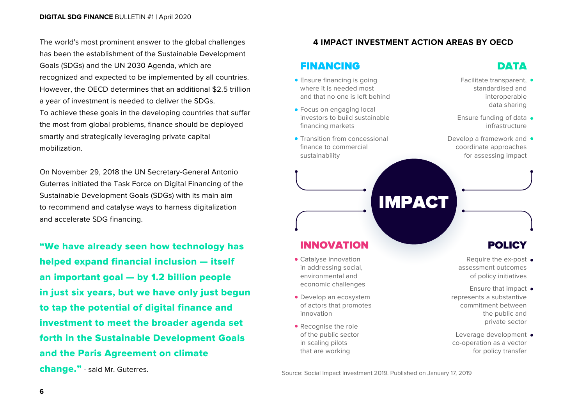The world's most prominent answer to the global challenges has been the establishment of the Sustainable Development Goals (SDGs) and the UN 2030 Agenda, which are recognized and expected to be implemented by all countries. However, the OECD determines that an additional \$2.5 trillion a year of investment is needed to deliver the SDGs. To achieve these goals in the developing countries that suffer the most from global problems, finance should be deployed smartly and strategically leveraging private capital mobilization.

On November 29, 2018 the UN Secretary-General Antonio Guterres initiated the Task Force on Digital Financing of the Sustainable Development Goals (SDGs) with its main aim to recommend and catalyse ways to harness digitalization and accelerate SDG financing.

"We have already seen how technology has helped expand financial inclusion — itself an important goal — by 1.2 billion people in just six years, but we have only just begun to tap the potential of digital finance and investment to meet the broader agenda set forth in the Sustainable Development Goals and the Paris Agreement on climate change." - said Mr. Guterres.

### **4 IMPACT INVESTMENT ACTION AREAS BY OECD**

IMPACT

## FINANCING

- **Ensure financing is going** where it is needed most and that no one is left behind
- **Focus on engaging local** investors to build sustainable financing markets
- **Transition from concessional** finance to commercial sustainability

#### standardised and interoperable

Facilitate transparent. •

DATA

data sharing

- Ensure funding of data infrastructure
- Develop a framework and  $\bullet$ coordinate approaches for assessing impact

## INNOVATION

- Catalyse innovation in addressing social, environmental and economic challenges
- Develop an ecosystem of actors that promotes innovation
- Recognise the role of the public sector in scaling pilots that are working

## **POLICY**

- Require the ex-post assessment outcomes of policy initiatives
- Ensure that impact  $\bullet$ represents a substantive commitment between the public and private sector
- Leverage development co-operation as a vector for policy transfer

Source: Social Impact Investment 2019. Published on January 17, 2019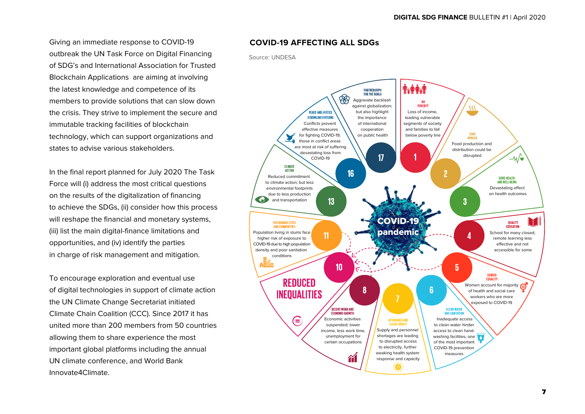Giving an immediate response to COVID-19 outbreak the UN Task Force on Digital Financing of SDG's and International Association for Trusted Blockchain Applications are aiming at involving the latest knowledge and competence of its members to provide solutions that can slow down the crisis. They strive to implement the secure and immutable tracking facilities of blockchain technology, which can support organizations and states to advise various stakeholders.

In the final report planned for July 2020 The Task Force will (i) address the most critical questions on the results of the digitalization of financing to achieve the SDGs, (ii) consider how this process will reshape the financial and monetary systems, (iii) list the main digital-finance limitations and opportunities, and (iv) identify the parties in charge of risk management and mitigation.

To encourage exploration and eventual use of digital technologies in support of climate action the UN Climate Change Secretariat initiated Climate Chain Coalition (CCC). Since 2017 it has united more than 200 members from 50 countries allowing them to share experience the most important global platforms including the annual UN climate conference, and World Bank Innovate4Climate.

#### **COVID-19 AFFECTING ALL SDGs**

#### Source: UNDESA

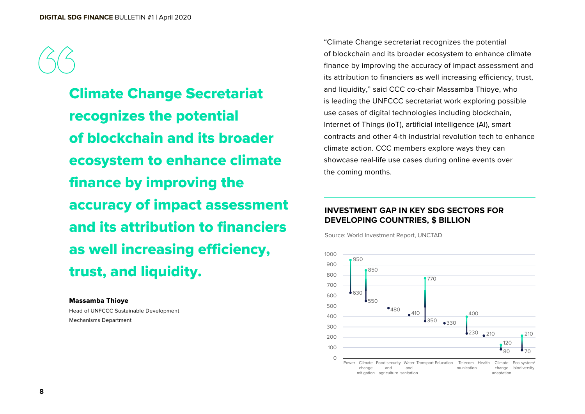Climate Change Secretariat recognizes the potential of blockchain and its broader ecosystem to enhance climate finance by improving the accuracy of impact assessment and its attribution to financiers as well increasing efficiency, trust, and liquidity.

#### Massamba Thioye

Head of UNFCCC Sustainable Development Mechanisms Department

"Climate Change secretariat recognizes the potential of blockchain and its broader ecosystem to enhance climate finance by improving the accuracy of impact assessment and its attribution to financiers as well increasing efficiency, trust, and liquidity," said CCC co-chair Massamba Thioye, who is leading the UNFCCC secretariat work exploring possible use cases of digital technologies including blockchain, Internet of Things (IoT), artificial intelligence (AI), smart contracts and other 4-th industrial revolution tech to enhance climate action. CCC members explore ways they can showcase real-life use cases during online events over the coming months.

### **INVESTMENT GAP IN KEY SDG SECTORS FOR DEVELOPING COUNTRIES, \$ BILLION**

Source: World Investment Report, UNCTAD

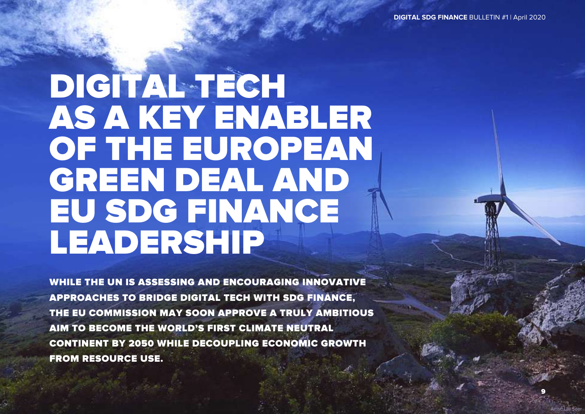**DIGITAL SDG FINANCE** BULLETIN #1 | April 2020

9

Artist: Ulli Seer

## DIGITAL TECH AS A KEY ENABLER OF THE EUROPEAN GREEN DEAL AND EU SDG FINANCE LEADERSHIP

WHILE THE UN IS ASSESSING AND ENCOURAGING INNOVATIVE APPROACHES TO BRIDGE DIGITAL TECH WITH SDG FINANCE, THE EU COMMISSION MAY SOON APPROVE A TRULY AMBITIOUS AIM TO BECOME THE WORLD'S FIRST CLIMATE NEUTRAL CONTINENT BY 2050 WHILE DECOUPLING ECONOMIC GROWTH FROM RESOURCE USE.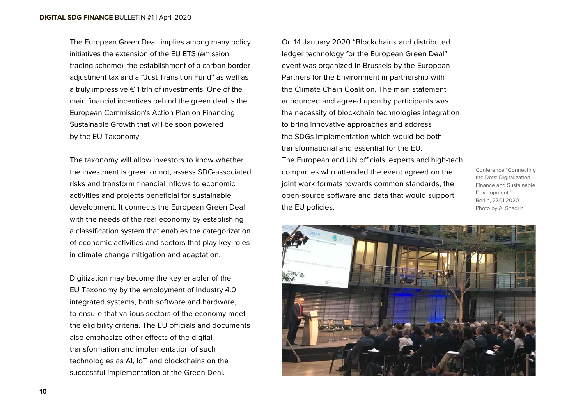The European Green Deal implies among many policy initiatives the extension of the EU ETS (emission trading scheme), the establishment of a carbon border adjustment tax and a "Just Transition Fund'' as well as a truly impressive € 1 trln of investments. One of the main financial incentives behind the green deal is the European Commission's Action Plan on Financing Sustainable Growth that will be soon powered by the EU Taxonomy.

The taxonomy will allow investors to know whether the investment is green or not, assess SDG-associated risks and transform financial inflows to economic activities and projects beneficial for sustainable development. It connects the European Green Deal with the needs of the real economy by establishing a classification system that enables the categorization of economic activities and sectors that play key roles in climate change mitigation and adaptation.

Digitization may become the key enabler of the EU Taxonomy by the employment of Industry 4.0 integrated systems, both software and hardware, to ensure that various sectors of the economy meet the eligibility criteria. The EU officials and documents also emphasize other effects of the digital transformation and implementation of such technologies as AI, IoT and blockchains on the successful implementation of the Green Deal.

On 14 January 2020 "Blockchains and distributed ledger technology for the European Green Deal" event was organized in Brussels by the European Partners for the Environment in partnership with the Climate Chain Coalition. The main statement announced and agreed upon by participants was the necessity of blockchain technologies integration to bring innovative approaches and address the SDGs implementation which would be both transformational and essential for the EU. The European and UN officials, experts and high-tech companies who attended the event agreed on the joint work formats towards common standards, the open-source software and data that would support the EU policies.

Сonference "Connecting the Dots: Digitalization, Finance and Sustainable Development" Berlin, 27.01.2020 Photo by A. Shadrin

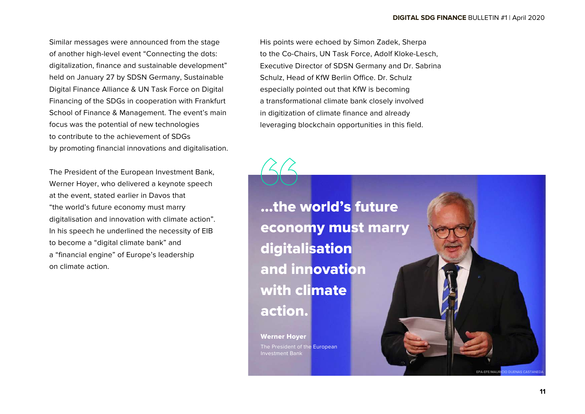Similar messages were announced from the stage of another high-level event "Connecting the dots: digitalization, finance and sustainable development" held on January 27 by SDSN Germany, Sustainable Digital Finance Alliance & UN Task Force on Digital Financing of the SDGs in cooperation with Frankfurt School of Finance & Management. The event's main focus was the potential of new technologies to contribute to the achievement of SDGs by promoting financial innovations and digitalisation.

The President of the European Investment Bank, Werner Hoyer, who delivered a keynote speech at the event, stated earlier in Davos that "the world's future economy must marry digitalisation and innovation with climate action". In his speech he underlined the necessity of EIB to become a "digital climate bank" and a "financial engine" of Europe's leadership on climate action.

His points were echoed by Simon Zadek, Sherpa to the Co-Chairs, UN Task Force, Adolf Kloke-Lesch, Executive Director of SDSN Germany and Dr. Sabrina Schulz, Head of KfW Berlin Office. Dr. Schulz especially pointed out that KfW is becoming a transformational climate bank closely involved in digitization of climate finance and already leveraging blockchain opportunities in this field.

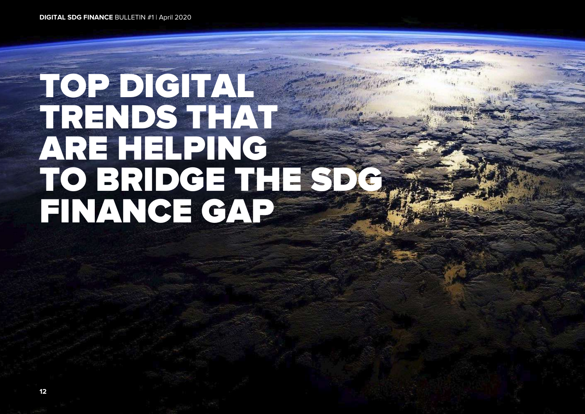# TOP DIGITAL TRENDS THAT ARE HELPING TO BRIDGE THE SDG FINANCE GAP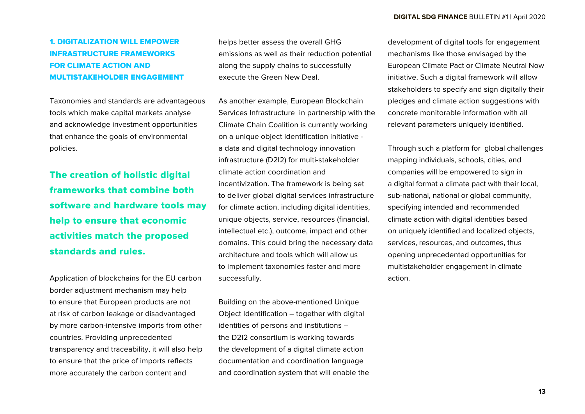## 1. DIGITALIZATION WILL EMPOWER INFRASTRUCTURE FRAMEWORKS FOR CLIMATE ACTION AND MULTISTAKEHOLDER ENGAGEMENT

Taxonomies and standards are advantageous tools which make capital markets analyse and acknowledge investment opportunities that enhance the goals of environmental policies.

The creation of holistic digital frameworks that combine both software and hardware tools may help to ensure that economic activities match the proposed standards and rules.

Application of blockchains for the EU carbon border adjustment mechanism may help to ensure that European products are not at risk of carbon leakage or disadvantaged by more carbon-intensive imports from other countries. Providing unprecedented transparency and traceability, it will also help to ensure that the price of imports reflects more accurately the carbon content and

helps better assess the overall GHG emissions as well as their reduction potential along the supply chains to successfully execute the Green New Deal.

As another example, European Blockchain Services Infrastructure in partnership with the Climate Chain Coalition is currently working on a unique object identification initiative a data and digital technology innovation infrastructure (D2I2) for multi-stakeholder climate action coordination and incentivization. The framework is being set to deliver global digital services infrastructure for climate action, including digital identities, unique objects, service, resources (financial, intellectual etc.), outcome, impact and other domains. This could bring the necessary data architecture and tools which will allow us to implement taxonomies faster and more successfully.

Building on the above-mentioned Unique Object Identification – together with digital identities of persons and institutions – the D2I2 consortium is working towards the development of a digital climate action documentation and coordination language and coordination system that will enable the development of digital tools for engagement mechanisms like those envisaged by the European Climate Pact or Climate Neutral Now initiative. Such a digital framework will allow stakeholders to specify and sign digitally their pledges and climate action suggestions with concrete monitorable information with all relevant parameters uniquely identified.

Through such a platform for global challenges mapping individuals, schools, cities, and companies will be empowered to sign in a digital format a climate pact with their local, sub-national, national or global community, specifying intended and recommended climate action with digital identities based on uniquely identified and localized objects, services, resources, and outcomes, thus opening unprecedented opportunities for multistakeholder engagement in climate action.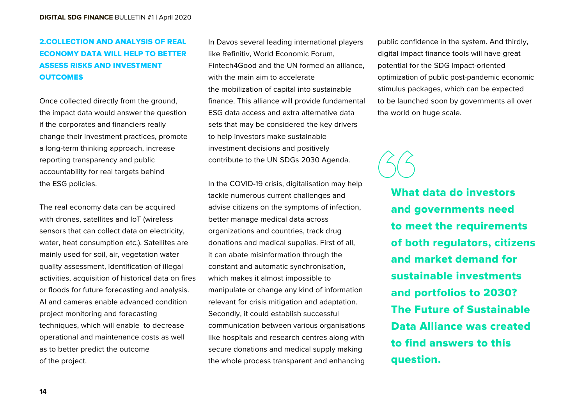## 2.COLLECTION AND ANALYSIS OF REAL ECONOMY DATA WILL HELP TO BETTER ASSESS RISKS AND INVESTMENT **OUTCOMES**

Once collected directly from the ground, the impact data would answer the question if the corporates and financiers really change their investment practices, promote a long-term thinking approach, increase reporting transparency and public accountability for real targets behind the ESG policies.

The real economy data can be acquired with drones, satellites and IoT (wireless sensors that can collect data on electricity, water, heat consumption etc.). Satellites are mainly used for soil, air, vegetation water quality assessment, identification of illegal activities, acquisition of historical data on fires or floods for future forecasting and analysis. AI and cameras enable advanced condition project monitoring and forecasting techniques, which will enable to decrease operational and maintenance costs as well as to better predict the outcome of the project.

In Davos several leading international players like Refinitiv, World Economic Forum, Fintech4Good and the UN formed an alliance, with the main aim to accelerate the mobilization of capital into sustainable finance. This alliance will provide fundamental ESG data access and extra alternative data sets that may be considered the key drivers to help investors make sustainable investment decisions and positively contribute to the UN SDGs 2030 Agenda.

In the COVID-19 crisis, digitalisation may help tackle numerous current challenges and advise citizens on the symptoms of infection, better manage medical data across organizations and countries, track drug donations and medical supplies. First of all, it can abate misinformation through the constant and automatic synchronisation, which makes it almost impossible to manipulate or change any kind of information relevant for crisis mitigation and adaptation. Secondly, it could establish successful communication between various organisations like hospitals and research centres along with secure donations and medical supply making the whole process transparent and enhancing

public confidence in the system. And thirdly, digital impact finance tools will have great potential for the SDG impact-oriented optimization of public post-pandemic economic stimulus packages, which can be expected to be launched soon by governments all over the world on huge scale.

What data do investors and governments need to meet the requirements of both regulators, citizens and market demand for sustainable investments and portfolios to 2030? The Future of Sustainable Data Alliance was created to find answers to this question.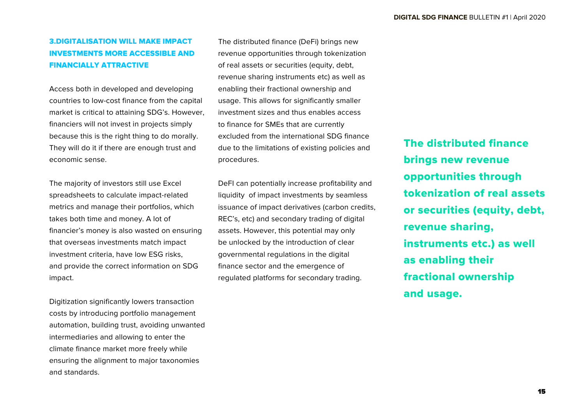## 3.DIGITALISATION WILL MAKE IMPACT INVESTMENTS MORE ACCESSIBLE AND FINANCIALLY ATTRACTIVE

Access both in developed and developing countries to low-cost finance from the capital market is critical to attaining SDG's. However, financiers will not invest in projects simply because this is the right thing to do morally. They will do it if there are enough trust and economic sense.

The majority of investors still use Excel spreadsheets to calculate impact-related metrics and manage their portfolios, which takes both time and money. A lot of financier's money is also wasted on ensuring that overseas investments match impact investment criteria, have low ESG risks, and provide the correct information on SDG impact.

Digitization significantly lowers transaction costs by introducing portfolio management automation, building trust, avoiding unwanted intermediaries and allowing to enter the climate finance market more freely while ensuring the alignment to major taxonomies and standards.

The distributed finance (DeFi) brings new revenue opportunities through tokenization of real assets or securities (equity, debt, revenue sharing instruments etc) as well as enabling their fractional ownership and usage. This allows for significantly smaller investment sizes and thus enables access to finance for SMEs that are currently excluded from the international SDG finance due to the limitations of existing policies and procedures.

DeFI can potentially increase profitability and liquidity of impact investments by seamless issuance of impact derivatives (carbon credits, REC's, etc) and secondary trading of digital assets. However, this potential may only be unlocked by the introduction of clear governmental regulations in the digital finance sector and the emergence of regulated platforms for secondary trading.

The distributed finance brings new revenue opportunities through tokenization of real assets or securities (equity, debt, revenue sharing, instruments etc.) as well as enabling their fractional ownership and usage.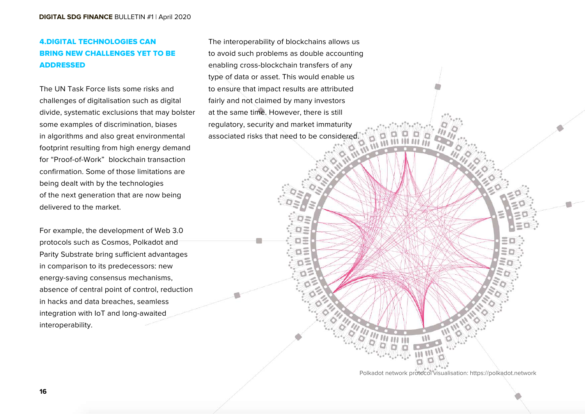## 4.DIGITAL TECHNOLOGIES CAN BRING NEW CHALLENGES YET TO BE ADDRESSED

The UN Task Force lists some risks and challenges of digitalisation such as digital divide, systematic exclusions that may bolster some examples of discrimination, biases in algorithms and also great environmental footprint resulting from high energy demand for "Proof-of-Work" blockchain transaction confirmation. Some of those limitations are being dealt with by the technologies of the next generation that are now being delivered to the market.

For example, the development of Web 3.0 protocols such as Cosmos, Polkadot and Parity Substrate bring sufficient advantages in comparison to its predecessors: new energy-saving consensus mechanisms, absence of central point of control, reduction in hacks and data breaches, seamless integration with IoT and long-awaited interoperability.

The interoperability of blockchains allows us to avoid such problems as double accounting enabling cross-blockchain transfers of any type of data or asset. This would enable us to ensure that impact results are attributed fairly and not claimed by many investors at the same time. However, there is still regulatory, security and market immaturity associated risks that need to be considered.

> O3 o=  $\overline{a}$

> > Polkadot network protocol visualisation: https://polkadot.network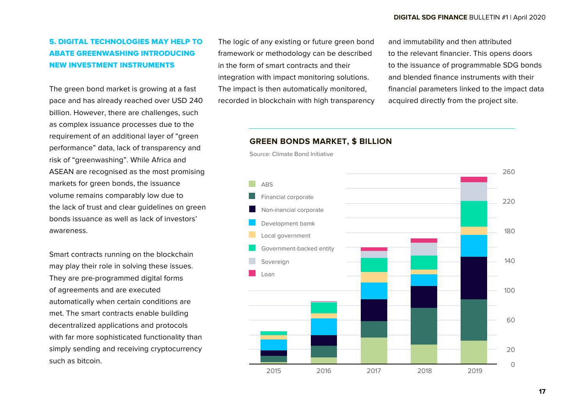## 5. DIGITAL TECHNOLOGIES MAY HELP TO ABATE GREENWASHING INTRODUCING NEW INVESTMENT INSTRUMENTS

The green bond market is growing at a fast pace and has already reached over USD 240 billion. However, there are challenges, such as complex issuance processes due to the requirement of an additional layer of "green" performance" data, lack of transparency and risk of "greenwashing". While Africa and ASEAN are recognised as the most promising markets for green bonds, the issuance volume remains comparably low due to the lack of trust and clear guidelines on green bonds issuance as well as lack of investors' awareness.

Smart contracts running on the blockchain may play their role in solving these issues. They are pre-programmed digital forms of agreements and are executed automatically when certain conditions are met. The smart contracts enable building decentralized applications and protocols with far more sophisticated functionality than simply sending and receiving cryptocurrency such as bitcoin.

The logic of any existing or future green bond framework or methodology can be described in the form of smart contracts and their integration with impact monitoring solutions. The impact is then automatically monitored, recorded in blockchain with high transparency and immutability and then attributed to the relevant financier. This opens doors to the issuance of programmable SDG bonds and blended finance instruments with their financial parameters linked to the impact data acquired directly from the project site.

#### **GREEN BONDS MARKET, \$ BILLION**

Source: Climate Bond Initiative

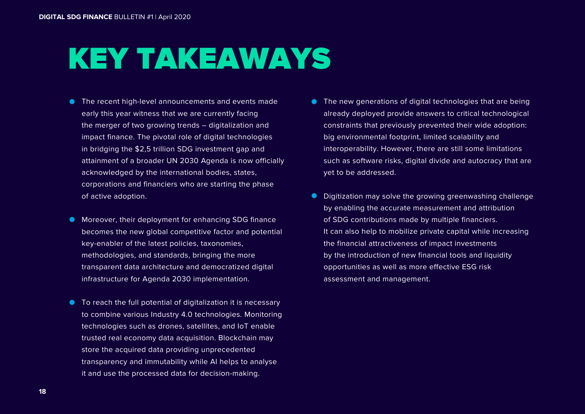## KEY TAKEAWAYS

- The recent high-level announcements and events made early this year witness that we are currently facing the merger of two growing trends – digitalization and impact finance. The pivotal role of digital technologies in bridging the \$2,5 trillion SDG investment gap and attainment of a broader UN 2030 Agenda is now officially acknowledged by the international bodies, states, corporations and financiers who are starting the phase of active adoption.
- **Moreover, their deployment for enhancing SDG finance** becomes the new global competitive factor and potential key-enabler of the latest policies, taxonomies, methodologies, and standards, bringing the more transparent data architecture and democratized digital infrastructure for Agenda 2030 implementation.
- To reach the full potential of digitalization it is necessary to combine various Industry 4.0 technologies. Monitoring technologies such as drones, satellites, and IoT enable trusted real economy data acquisition. Blockchain may store the acquired data providing unprecedented transparency and immutability while AI helps to analyse it and use the processed data for decision-making.
- **The new generations of digital technologies that are being** already deployed provide answers to critical technological constraints that previously prevented their wide adoption: big environmental footprint, limited scalability and interoperability. However, there are still some limitations such as software risks, digital divide and autocracy that are yet to be addressed.
- **•** Digitization may solve the growing greenwashing challenge by enabling the accurate measurement and attribution of SDG contributions made by multiple financiers. It can also help to mobilize private capital while increasing the financial attractiveness of impact investments by the introduction of new financial tools and liquidity opportunities as well as more effective ESG risk assessment and management.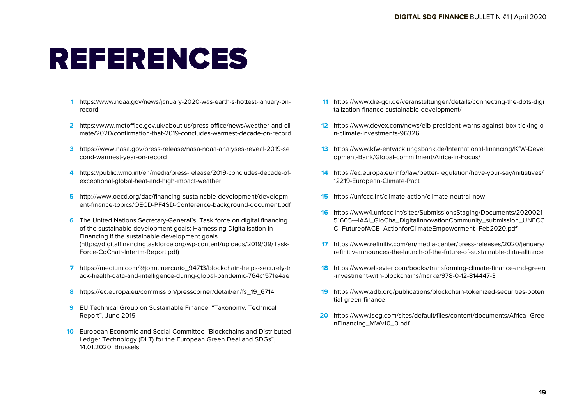## REFERENCES

- [https://www.noaa.gov/news/january-2020-was-earth-s-hottest-january-on-](https://www.noaa.gov/news/january-2020-was-earth-s-hottest-january-on-record)**1** record
- https://www.metoffice.gov.uk/about-us/press-office/news/weather-and-cli **2** mate/2020/confirmation-that-2019-concludes-warmest-decade-on-record
- [https://www.nasa.gov/press-release/nasa-noaa-analyses-reveal-2019-se](https://www.nasa.gov/press-release/nasa-noaa-analyses-reveal-2019-second-warmest-year-on-record/) **3** cond-warmest-year-on-record
- [https://public.wmo.int/en/media/press-release/2019-concludes-decade-of-](https://public.wmo.int/en/media/press-release/2019-concludes-decade-of-exceptional-global-heat-and-high-impact-weather)**4** exceptional-global-heat-and-high-impact-weather
- http://www.oecd.org/dac/financing-sustainable-development/developm **5** [ent-finance-topics/OECD-PF4SD-Conference-background-document.pdf](http://www.oecd.org/dac/financing-sustainable-development/development-finance-topics/OECD-PF4SD-Conference-background-document.pdf)
- The United Nations Secretary-General's. Task force on digital financing **6** of the sustainable development goals: Harnessing Digitalisation in Financing if the sustainable development goals [\(https://digitalfinancingtaskforce.org/wp-content/uploads/2019/09/Task-](https://digitalfinancingtaskforce.org/wp-content/uploads/2019/09/Task-Force-CoChair-Interim-Report.pdf)Force-CoChair-Interim-Report.pdf)
- [https://medium.com/@john.mercurio\\_94713/blockchain-helps-securely-tr](https://medium.com/@john.mercurio_94713/blockchain-helps-securely-track-health-data-and-intelligence-during-global-pandemic-764c1571e4ae) **7** ack-health-data-and-intelligence-during-global-pandemic-764c1571e4ae
- [https://ec.europa.eu/commission/presscorner/detail/en/fs\\_19\\_6714](https://ec.europa.eu/commission/presscorner/detail/en/fs_19_6714) **8**
- EU Technical Group on Sustainable Finance, "Taxonomy. Technical **9** Report", June 2019
- European Economic and Social Committee "Blockchains and Distributed **10** Ledger Technology (DLT) for the European Green Deal and SDGs", 14.01.2020, Brussels
- [https://www.die-gdi.de/veranstaltungen/details/connecting-the-dots-digi](https://www.die-gdi.de/veranstaltungen/details/connecting-the-dots-digitalization-finance-sustainable-development/) **11** talization-finance-sustainable-development/
- [https://www.devex.com/news/eib-president-warns-against-box-ticking-o](https://www.devex.com/news/eib-president-warns-against-box-ticking-on-climate-investments-96326) **12** n-climate-investments-96326
- [https://www.kfw-entwicklungsbank.de/International-financing/KfW-Devel](https://www.kfw-entwicklungsbank.de/International-financing/KfW-Development-Bank/Global-commitment/Africa-in-Focus/) **13** opment-Bank/Global-commitment/Africa-in-Focus/
- [https://ec.europa.eu/info/law/better-regulation/have-your-say/initiatives/](https://ec.europa.eu/info/law/better-regulation/have-your-say/initiatives/12219-European-Climate-Pact) **14** 12219-European-Climate-Pact
- <https://unfccc.int/climate-action/climate-neutral-now> **15**
- https://www4.unfccc.int/sites/SubmissionsStaging/Documents/2020021 **16** [51605---IAAI\\_GloCha\\_DigitalInnovationCommunity\\_submission\\_UNFCC](https://www4.unfccc.int/sites/SubmissionsStaging/Documents/202002151605---IAAI_GloCha_DigitalInnovationCommunity_submission_UNFCCC_FutureofACE_ActionforClimateEmpowerment_Feb2020.pdf) C\_FutureofACE\_ActionforClimateEmpowerment\_Feb2020.pdf
- [https://www.refinitiv.com/en/media-center/press-releases/2020/january/](https://www.refinitiv.com/en/media-center/press-releases/2020/january/refinitiv-announces-the-launch-of-the-future-of-sustainable-data-alliance) **17** refinitiv-announces-the-launch-of-the-future-of-sustainable-data-alliance
- [https://www.elsevier.com/books/transforming-climate-finance-and-green](https://www.elsevier.com/books/transforming-climate-finance-and-green-investment-with-blockchains/marke/978-0-12-814447-3) **18** -investment-with-blockchains/marke/978-0-12-814447-3
- [https://www.adb.org/publications/blockchain-tokenized-securities-poten](https://www.adb.org/publications/blockchain-tokenized-securities-potential-green-finance) tial-green-finance **19**
- [https://www.lseg.com/sites/default/files/content/documents/Africa\\_Gree](https://www.lseg.com/sites/default/files/content/documents/Africa_GreenFinancing_MWv10_0.pdf) **20** nFinancing\_MWv10\_0.pdf